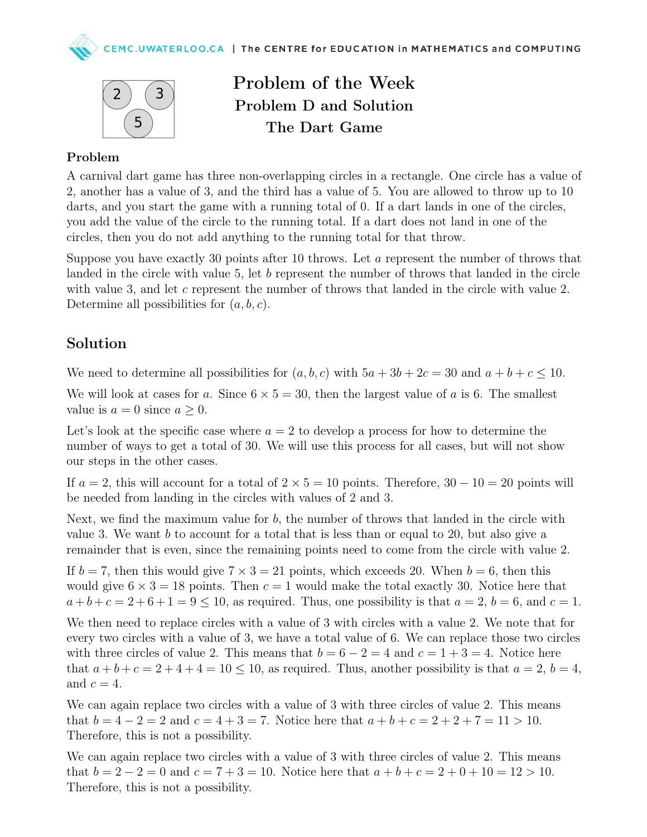



Problem of the Week Problem D and Solution The Dart Game

## Problem

A carnival dart game has three non-overlapping circles in a rectangle. One circle has a value of 2, another has a value of 3, and the third has a value of 5. You are allowed to throw up to 10 darts, and you start the game with a running total of 0. If a dart lands in one of the circles, you add the value of the circle to the running total. If a dart does not land in one of the circles, then you do not add anything to the running total for that throw.

Suppose you have exactly 30 points after 10 throws. Let a represent the number of throws that landed in the circle with value 5, let b represent the number of throws that landed in the circle with value 3, and let c represent the number of throws that landed in the circle with value 2. Determine all possibilities for  $(a, b, c)$ .

## Solution

We need to determine all possibilities for  $(a, b, c)$  with  $5a + 3b + 2c = 30$  and  $a + b + c \le 10$ .

We will look at cases for a. Since  $6 \times 5 = 30$ , then the largest value of a is 6. The smallest value is  $a = 0$  since  $a \geq 0$ .

Let's look at the specific case where  $a = 2$  to develop a process for how to determine the number of ways to get a total of 30. We will use this process for all cases, but will not show our steps in the other cases.

If  $a = 2$ , this will account for a total of  $2 \times 5 = 10$  points. Therefore,  $30 - 10 = 20$  points will be needed from landing in the circles with values of 2 and 3.

Next, we find the maximum value for b, the number of throws that landed in the circle with value 3. We want  $b$  to account for a total that is less than or equal to 20, but also give a remainder that is even, since the remaining points need to come from the circle with value 2.

If  $b = 7$ , then this would give  $7 \times 3 = 21$  points, which exceeds 20. When  $b = 6$ , then this would give  $6 \times 3 = 18$  points. Then  $c = 1$  would make the total exactly 30. Notice here that  $a+b+c=2+6+1=9\leq 10$ , as required. Thus, one possibility is that  $a=2, b=6$ , and  $c=1$ .

We then need to replace circles with a value of 3 with circles with a value 2. We note that for every two circles with a value of 3, we have a total value of 6. We can replace those two circles with three circles of value 2. This means that  $b = 6 - 2 = 4$  and  $c = 1 + 3 = 4$ . Notice here that  $a + b + c = 2 + 4 + 4 = 10 < 10$ , as required. Thus, another possibility is that  $a = 2$ ,  $b = 4$ , and  $c = 4$ .

We can again replace two circles with a value of 3 with three circles of value 2. This means that  $b = 4 - 2 = 2$  and  $c = 4 + 3 = 7$ . Notice here that  $a + b + c = 2 + 2 + 7 = 11 > 10$ . Therefore, this is not a possibility.

We can again replace two circles with a value of 3 with three circles of value 2. This means that  $b = 2 - 2 = 0$  and  $c = 7 + 3 = 10$ . Notice here that  $a + b + c = 2 + 0 + 10 = 12 > 10$ . Therefore, this is not a possibility.